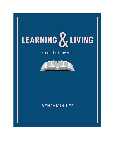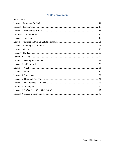# **Table of Contents**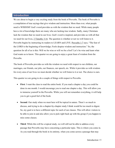### Introduction

We are about to begin a very exciting study from the book of Proverbs. The book of Proverbs is a compilation of true sayings that give wisdom and instruction. More than ever, what people need is WISDOM! God's word provides us with the wisdom that we need. While many people have a lot of knowledge there are many who are lacking true wisdom. Sadly, many Christians lack the wisdom that we need in our lives. God's word is inspired, and provides us with all that we need for our lives, 2 Timothy 3:16. The question is whether or not we will listen to it. Proverbs begins by instructing its readers to LEARN and LIVE. Proverbs 1:7 says, "The fear of the LORD is the beginning of knowledge; Fools despise wisdom and instruction." So, the question for all of us is this: Will we be wise or will we be a fool? Let's be wise and learn what God wants us to know. This quarter we are going to enjoy a great feast of wisdom from the Proverbs.

The book of Proverbs provides us with the wisdom we need with respect to our children, our marriages, our friends, our jobs, our finances, our speech, etc. While it provides us with wisdom for every area of our lives we must decide whether we will listen to it or not. The choice is ours.

This quarter we are going to do a couple of things with respect to Proverbs.

- First: I want the class to read the entire book. If you read a chapter a day you could be done in one month. I would encourage you to read one chapter a day. This will allow you to immerse yourself in the Proverbs. While you will not remember everything, it will help you to get a good feel of the book.
- Second: Our study when we meet here will be topical in nature. There's so much to discuss, and trying to do a chapter-by-chapter study I think would be too much to digest. So, my goal is to have a different topic for each of our classes. This will allow visitors to be able to join in and also allow you to pick right back up with the group if you happen to miss some classes.
- Third: While this will be a topical study, we will still not be able to address every passage that Proverbs may have concerning a particular topic. This is where you come in. As you read through the book in its entirety, when you come across a passage that may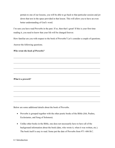pertain to one of our lessons, you will be able to go back to that particular session and jot down that text in the space provided in that lesson. This will allow you to have an even better understanding of God's word.

I'm sure you have read Proverbs in the past. If so, then that's great! If this is your first time reading it, you need to know that your life will be changed forever.

How familiar are you with respect to the book of Proverbs? Let's consider a couple of questions.

 $\mathcal{L}_\mathcal{L} = \mathcal{L}_\mathcal{L} = \mathcal{L}_\mathcal{L} = \mathcal{L}_\mathcal{L} = \mathcal{L}_\mathcal{L} = \mathcal{L}_\mathcal{L} = \mathcal{L}_\mathcal{L} = \mathcal{L}_\mathcal{L} = \mathcal{L}_\mathcal{L} = \mathcal{L}_\mathcal{L} = \mathcal{L}_\mathcal{L} = \mathcal{L}_\mathcal{L} = \mathcal{L}_\mathcal{L} = \mathcal{L}_\mathcal{L} = \mathcal{L}_\mathcal{L} = \mathcal{L}_\mathcal{L} = \mathcal{L}_\mathcal{L}$ 

Answer the following questions.

Who wrote the book of Proverbs?

What is a proverb?

Below are some additional details about the book of Proverbs.

- Proverbs is grouped together with the other poetic books of the Bible (Job, Psalms, Ecclesiastes, and Song of Solomon).
- Unlike other books in the Bible, one does not necessarily have to have all of the background information about the book (date, who wrote it, when it was written, etc.). The book itself is easy to read. Some put the date of Proverbs from 971–686 B.C.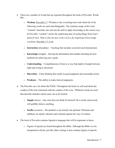- There are a number of words that are repeated throughout the book of Proverbs. Words like…
	- o Wisdom, Proverbs 1:7 "Wisdom is the overruling term with which all of the following words are used interchangeably. The common usage of the word "wisdom" describes one who has the skill to apply knowledge in the correct way. In Proverbs, "wisdom" carries the underlying idea of seeing things from God's point of view. That is why the fear of the Lord is the beginning of knowledge (wisdom), Proverbs 1:7; 9:10.
	- $\circ$  Instruction (discipline) Teaching that includes correction and chastisement.
	- $\circ$  Knowledge (insight) Having the information that enables deciding the best methods for achieving one's goals.
	- $\circ$  Understanding Comprehension of facts in a way that depth of insight between right and wrong is discerned.
	- o Discretion Clear thinking that results in good judgment and reasonable action.
	- $\circ$  **Prudence** The ability to make shrewd judgments.
- The Proverbs say a lot about the FOOL! Throughout the book we will read about the conduct of the fool contrasted with the conduct of the wise. "Different words are used that describe attitudes which cause one to be foolish.
	- $\circ$  Simple (naive) One who does not think for himself. He is easily enticed and will gullibly believe anything.
	- o Scoffer (scorner) His problem is not mental, but spiritual. Obstinate and stubborn, he openly ridicules and contends against the way of wisdom.
- The book of Proverbs contains figurative language that will be important to know.
	- o Figures of speech are found throughout the Bible. Although the Bible is to be interpreted as literal, just like other writings it also contains figures of speech,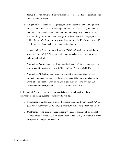Joshua 2:11. Just as we use figurative language, so does God as He communicates to us through His word.

- o A figure of speech "is a word, a phrase, or an expression used in an imaginative rather than a literal sense." For example, in Luke 13:32 Jesus said, "Go and tell that fox…" Jesus was speaking about Herod. Obviously, Herod was not a fox! But describing Herod in this manner says a lot about the man! "The purpose behind the use of a figurative expression is to intensify the idea being conveyed." The figure adds force, feeling, and color to the thought.
- o As you read the Proverbs you will see how "Wisdom" is often personified as a woman, Proverbs 9:1-6. Wisdom is often painted as being upright, honest, true, helpful, and faithful.
- $\circ$  You will see *Simile* being used throughout the book. A simile is a comparison of two different things using the words "like" or "as," Proverbs 25:11-14.
- $\circ$  You will see *Metaphors* being used throughout the book. A metaphor is an implied comparison between two things, which are different. In a metaphor the words of comparison --- like, as, as...so is, and such as --- are not used. An example is John 6:48, where Jesus says, "I am the bread of life."
- In the book of Proverbs, you will see different styles by which the Proverbs are constructed. For example, some of the Proverbs will be…
	- $\circ$  Synonymous: (A statement is made, then made again in different words). "*Pride* goes before destruction, and a haughty spirit before stumbling" Proverbs 16:18.
	- o Contrasting: (The truth expressed in the first clause is opposite of the second). "The sacrifice of the wicked is an abomination to the LORD, but the prayer of the upright is His delight" Proverbs 15:8.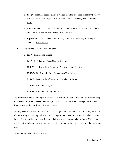- o Progressive: (The second clause develops the idea expressed in the first). "There is a way which seems right to a man, but its end is the way of death" Proverbs 14:12.
- o Consequences: (This will cause that to occur). "Commit your works to the LORD and your plans will be established" Proverbs 16:3.
- $\circ$  Equivalents: (This is identical with that). "Where no oxen are, the manger is clean…" Proverbs 14:4.
- A basic outline of the book of Proverbs
	- $\circ$  1:1-7 Purpose and Theme
	- o 1:8-9:18 A Father's Wise Counsel to a Son
	- o 10:1-22:16 Proverbs of Solomon: Practical Values for Life
	- o 22:17-24:34 Proverbs from Anonymous Wise Men
	- o 25:1-29:27 Proverbs of Solomon: Hezekiah's Edition
	- $\circ$  30:1-33 Proverbs of Agur
	- $\circ$  31:1-31 Proverbs of King Lemuel

The information above should get us started for our study. We could make this study really deep if we wanted to. What we need to do though is LEARN and LIVE! God has spoken! We need to listen. When we do, our lives will be much better.

Reading these Proverbs will be easy to do. In fact, you could come to class not having done any of your reading and pick up quickly what's being discussed. But this isn't merely about reading the text. It's about living the text. It's about being wise as opposed to being foolish! It's about truly listening and applying what we learn. That's our goal for the next quarter and the rest of our lives.

I look forward to studying with you.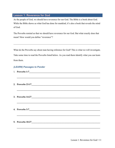### Lesson 1: Reverence for God

As the people of God, we should have reverence for our God. The Bible is a book about God. While the Bible shows us what God has done for mankind, it's also a book that reveals the mind of God.

The Proverbs remind us that we should have reverence for our God. But what exactly does that mean? How would you define "reverence"?

 $\mathcal{L}_\mathcal{L} = \mathcal{L}_\mathcal{L} = \mathcal{L}_\mathcal{L} = \mathcal{L}_\mathcal{L} = \mathcal{L}_\mathcal{L} = \mathcal{L}_\mathcal{L} = \mathcal{L}_\mathcal{L} = \mathcal{L}_\mathcal{L} = \mathcal{L}_\mathcal{L} = \mathcal{L}_\mathcal{L} = \mathcal{L}_\mathcal{L} = \mathcal{L}_\mathcal{L} = \mathcal{L}_\mathcal{L} = \mathcal{L}_\mathcal{L} = \mathcal{L}_\mathcal{L} = \mathcal{L}_\mathcal{L} = \mathcal{L}_\mathcal{L}$ 

What do the Proverbs say about man having reference for God? This is what we will investigate. Take some time to read the Proverbs listed below. As you read them identify what you can learn from them.

| 2. Proverbs 23:17                                                                                                                                                                                                                      |
|----------------------------------------------------------------------------------------------------------------------------------------------------------------------------------------------------------------------------------------|
|                                                                                                                                                                                                                                        |
|                                                                                                                                                                                                                                        |
|                                                                                                                                                                                                                                        |
| 4. Proverbs 3:7                                                                                                                                                                                                                        |
| 5. Proverbs 10:27<br><u>1982 - Andrea Barbon Barbon, and a series of the series of the series of the series of the series of the series of the series of the series of the series of the series of the series of the series of the</u> |
|                                                                                                                                                                                                                                        |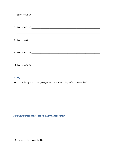| 8. Proverbs 22:4<br>the contract of the contract of the contract of the contract of the contract of the contract of the contract of                                                                                           |
|-------------------------------------------------------------------------------------------------------------------------------------------------------------------------------------------------------------------------------|
|                                                                                                                                                                                                                               |
| the control of the control of the control of the control of the control of the control of the control of the control of the control of the control of the control of the control of the control of the control of the control |
| (LIVE)                                                                                                                                                                                                                        |
| After considering what these passages teach how should they affect how we live?                                                                                                                                               |
|                                                                                                                                                                                                                               |
|                                                                                                                                                                                                                               |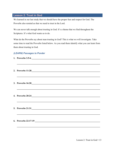# Lesson 2: Trust in God

We learned in our last study that we should have the proper fear and respect for God. The Proverbs also remind us that we need to trust in the Lord.

We can never talk enough about trusting in God. It's a theme that we find throughout the Scriptures. It's what God wants us to do.

What do the Proverbs say about man trusting in God? This is what we will investigate. Take some time to read the Proverbs listed below. As you read them identify what you can learn from them about trusting in God.

| <u> 1999 - Jan James James James James James James James James James James James James James James James James J</u> |
|----------------------------------------------------------------------------------------------------------------------|
| ,我们也不会有什么。""我们的人,我们也不会有什么?""我们的人,我们也不会有什么?""我们的人,我们也不会有什么?""我们的人,我们也不会有什么?""我们的人                                     |
| ,我们也不会有什么。""我们的人,我们也不会有什么?""我们的人,我们也不会有什么?""我们的人,我们也不会有什么?""我们的人,我们也不会有什么?""我们的人                                     |
|                                                                                                                      |
|                                                                                                                      |
| 6. Proverbs $22:17-19$                                                                                               |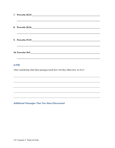| 7. Proverbs 28:25             |
|-------------------------------|
|                               |
| 8. Proverbs 28:26             |
|                               |
| 9. Proverbs 29:25             |
|                               |
| 10. Proverbs 30:5<br><u> </u> |
|                               |

After considering what these passages teach how will they affect how we live?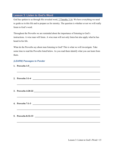## Lesson 3: Listen to God's Word

God has spoken to us through His revealed word, 2 Timothy 3:16. We have everything we need to guide us in this life and to prepare us for eternity. The question is whether or not we will really listen to God's word.

Throughout the Proverbs we are reminded about the importance of listening to God's instructions. A wise man will listen. A wise man will not only listen but also apply what he has heard in his life.

What do the Proverbs say about man listening to God? This is what we will investigate. Take some time to read the Proverbs listed below. As you read them identify what you can learn from them.

| 1. Proverbs 1:5                                                                                                        |
|------------------------------------------------------------------------------------------------------------------------|
| <u> 1990 - Jan James Sandar, martin amerikan basar dan berasal dalam berasal dalam berasal dalam berasal dalam ber</u> |
| 2. Proverbs 3:1-4 $\qquad$                                                                                             |
|                                                                                                                        |
|                                                                                                                        |
|                                                                                                                        |
|                                                                                                                        |
| ,我们也不能在这里的时候,我们也不能在这里的时候,我们也不能会不能会不能会不能会不能会不能会不能会不能会不能会不能会。""我们的是,我们也不能会不能会不能会不能                                       |
| 5. Proverbs 8:32-33                                                                                                    |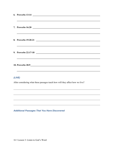| <u> 1990 - Jan James James James James James James James James James James James James James James James James J</u> |
|----------------------------------------------------------------------------------------------------------------------|
|                                                                                                                      |
| <u> 2000 - Jan James Alexander (f. 1980)</u>                                                                         |
| ,我们也不会有什么。""我们的人,我们也不会有什么?""我们的人,我们也不会有什么?""我们的人,我们也不会有什么?""我们的人,我们也不会有什么?""我们的人                                     |
| ,我们也不会有什么。""我们的人,我们也不会有什么?""我们的人,我们也不会有什么?""我们的人,我们也不会有什么?""我们的人,我们也不会有什么?""我们的人                                     |
| (LIVE)                                                                                                               |
| After considering what these passages teach how will they affect how we live?                                        |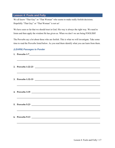## Lesson 4: Fools and Folly

We all know "That Guy" or "That Woman" who seems to make really foolish decisions. Hopefully "That Guy" or "That Woman" is not us!

We have seen so far that we should trust in God. His way is always the right way. We need to listen and then apply the wisdom He has given us. When we don't we are being FOOLISH!

The Proverbs say a lot about those who are foolish. This is what we will investigate. Take some time to read the Proverbs listed below. As you read them identify what you can learn from them.

| 1. Proverbs 1:7                                                                                                        |
|------------------------------------------------------------------------------------------------------------------------|
|                                                                                                                        |
| 2. Proverbs 1:22-23<br>,我们也不会有什么。""我们的人,我们也不会有什么?""我们的人,我们也不会有什么?""我们的人,我们也不会有什么?""我们的人,我们也不会有什么?""我们的人                |
| 3. Proverbs 1:32-33<br>,我们也不会有什么。""我们的人,我们也不会有什么?""我们的人,我们也不会有什么?""我们的人,我们也不会有什么?""我们的人,我们也不会有什么?""我们的人                |
| 4. Proverbs $3:35$ $\qquad \qquad$<br>,我们也不会有什么。""我们的人,我们也不会有什么?""我们的人,我们也不会有什么?""我们的人,我们也不会有什么?""我们的人,我们也不会有什么?""我们的人 |
|                                                                                                                        |
|                                                                                                                        |
|                                                                                                                        |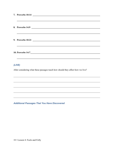| 8. Proverbs 14:9 |                                                                                  |
|------------------|----------------------------------------------------------------------------------|
|                  |                                                                                  |
|                  |                                                                                  |
|                  |                                                                                  |
| (LIVE)           |                                                                                  |
|                  | ,我们也不会有什么。""我们的人,我们也不会有什么?""我们的人,我们也不会有什么?""我们的人,我们也不会有什么?""我们的人,我们也不会有什么?""我们的人 |

After considering what these passages teach how should they affect how we live?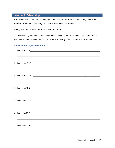# Lesson 5: Friendship

A lot can be known about a person by who their friends are. While someone may have 1,000 friends on Facebook, how many can say that they have true friends?

Having true friendships in our lives is very important.

The Proverbs say a lot about friendships. This is what we will investigate. Take some time to read the Proverbs listed below. As you read them identify what you can learn from them.

| ,我们也不会有什么。""我们的人,我们也不会有什么?""我们的人,我们也不会有什么?""我们的人,我们也不会有什么?""我们的人,我们也不会有什么?""我们的人                     |
|------------------------------------------------------------------------------------------------------|
| 2. Proverbs 17:17                                                                                    |
| 3. Proverbs 18:19                                                                                    |
| <u> 1989 - Johann Barn, mars an t-Amerikaansk politiker (* 1958)</u>                                 |
| ,我们也不会有什么。""我们的人,我们也不会有什么?""我们的人,我们也不会有什么?""我们的人,我们也不会有什么?""我们的人,我们也不会有什么?""我们的人                     |
| 6. Proverbs 27:5<br>,我们也不会有什么。""我们的人,我们也不会有什么?""我们的人,我们也不会有什么?""我们的人,我们也不会有什么?""我们的人,我们也不会有什么?""我们的人 |
| 7. Proverbs 27:6                                                                                     |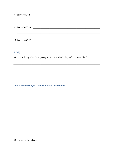| 8. Proverbs 27:9                                                                                                                          |
|-------------------------------------------------------------------------------------------------------------------------------------------|
| 9. Proverbs 27:10<br><u> 1989 - Andrea Station Barbara, amerikan personal di sebagai personal di sebagai personal di sebagai personal</u> |
|                                                                                                                                           |
| <b>10. Proverbs 27:17</b><br><u> 1980 - Andrea Andrew Maria (h. 1980).</u>                                                                |
|                                                                                                                                           |

After considering what these passages teach how should they affect how we live?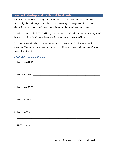### Lesson 6: Marriage and the Sexual Relationship

God instituted marriage in the beginning. Everything that God created in the beginning was good! Sadly, the devil has perverted the marital relationship. He has perverted the sexual relationship between a man and a woman that is supposed to be enjoyed in marriage.

Many have been deceived. Yet God has given us all we need when it comes to our marriages and the sexual relationship. We must decide whether or not we will trust what He says.

The Proverbs say a lot about marriage and the sexual relationship. This is what we will investigate. Take some time to read the Proverbs listed below. As you read them identify what you can learn from them.

| 1. Proverbs 2:10-19 $\qquad$                                                                                           |
|------------------------------------------------------------------------------------------------------------------------|
| ,我们也不会有什么。""我们的人,我们也不会有什么?""我们的人,我们也不会有什么?""我们的人,我们也不会有什么?""我们的人,我们也不会有什么?""我们的人                                       |
|                                                                                                                        |
| 3. Proverbs 6:23-35                                                                                                    |
| ,我们也不会有什么。""我们的人,我们也不会有什么?""我们的人,我们也不会有什么?""我们的人,我们也不会有什么?""我们的人,我们也不会有什么?""我们的人                                       |
| ,我们也不能在这里的时候,我们也不能在这里的时候,我们也不能会在这里的时候,我们也不能会在这里的时候,我们也不能会在这里的时候,我们也不能会在这里的时候,我们也不                                      |
| ,我们也不会有什么。""我们的人,我们也不会有什么?""我们的人,我们也不会有什么?""我们的人,我们也不会有什么?""我们的人,我们也不会有什么?""我们的人<br>6. Proverbs $14:1$ $\qquad \qquad$ |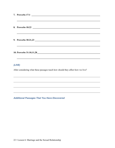| 7. Proverbs 17:1     |
|----------------------|
|                      |
|                      |
|                      |
| 9. Proverbs 30:21,23 |
|                      |
|                      |
|                      |
| (LIVE)               |

After considering what these passages teach how should they affect how we live?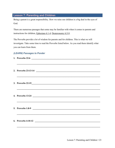# Lesson 7: Parenting and Children

Being a parent is a great responsibility. How we raise our children is a big deal in the eyes of God.

There are numerous passages that some may be familiar with when it comes to parents and instructions for children, Ephesians 6:1-4; Deuteronomy 6:5-9.

The Proverbs provide a lot of wisdom for parents and for children. This is what we will investigate. Take some time to read the Proverbs listed below. As you read them identify what you can learn from them.

| 1. Proverbs 22:6                                                                                       |
|--------------------------------------------------------------------------------------------------------|
| 2. Proverbs 23:13-14                                                                                   |
| 3. Proverbs 22:15<br>,我们也不会有什么。""我们的人,我们也不会有什么?""我们的人,我们也不会有什么?""我们的人,我们也不会有什么?""我们的人,我们也不会有什么?""我们的人  |
| ,我们也不会有什么。""我们的人,我们也不会有什么?""我们的人,我们也不会有什么?""我们的人,我们也不会有什么?""我们的人,我们也不会有什么?""我们的人                       |
| 5. Proverbs 1:8-9<br>,我们也不能在这里的时候,我们也不能在这里的时候,我们也不能会在这里的时候,我们也不能会在这里的时候,我们也不能会在这里的时候,我们也不能会在这里的时候,我们也不 |
|                                                                                                        |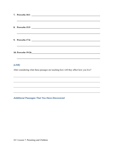| 7. Proverbs 10:1                           |  |
|--------------------------------------------|--|
|                                            |  |
| 8. Proverbs 15:5                           |  |
|                                            |  |
| 9. Proverbs 17:6                           |  |
|                                            |  |
| 10. Proverbs 19:26<br><u>International</u> |  |
|                                            |  |

After considering what these passages are teaching how will they affect how you live?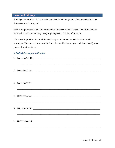### Lesson 8: Money

Would you be surprised if I were to tell you that the Bible says a lot about money? For some, that comes as a big surprise!

Yet the Scriptures are filled with wisdom when it comes to our finances. There's much more information concerning money than just giving on the first day of the week.

The Proverbs provide a lot of wisdom with respect to our money. This is what we will investigate. Take some time to read the Proverbs listed below. As you read them identify what you can learn from them.

| 1. Proverbs 3:9-10                                                                                                    |
|-----------------------------------------------------------------------------------------------------------------------|
|                                                                                                                       |
| <u> 1989 - Johann Harry Harry Harry Harry Harry Harry Harry Harry Harry Harry Harry Harry Harry Harry Harry Harry</u> |
| ,我们也不会有什么。""我们的人,我们也不会有什么?""我们的人,我们也不会有什么?""我们的人,我们也不会有什么?""我们的人,我们也不会有什么?""我们的人                                      |
| ,我们也不会有什么。""我们的人,我们也不会有什么?""我们的人,我们也不会有什么?""我们的人,我们也不会有什么?""我们的人,我们也不会有什么?""我们的人                                      |
|                                                                                                                       |
| 6. Proverbs 23:4-5                                                                                                    |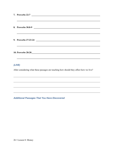| 7. Proverbs 22:7                                                                                                     |
|----------------------------------------------------------------------------------------------------------------------|
|                                                                                                                      |
| 8. Proverbs 30:8-9                                                                                                   |
|                                                                                                                      |
| 9. Proverbs 27:23-24                                                                                                 |
| <u> 1990 - Johann Barbara, martxa alemaniar argamento de la contrada de la contrada de la contrada de la contrad</u> |
|                                                                                                                      |
|                                                                                                                      |
| (LIVE)                                                                                                               |

After considering what these passages are teaching how should they affect how we live?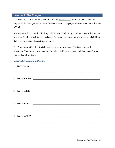### Lesson 9: The Tongue

The Bible says a lot about the power of words. In James 3:1-12, we are reminded about the tongue. With the tongue we can bless God and we can curse people who are made in the likeness of God.

A wise man will be careful with his speech! We can do a lot of good with the words that we say, or we can do a lot of bad. We get to choose! Our words can encourage our spouses and children. Sadly, our words can also destroy our homes.

The Proverbs provide a lot of wisdom with respect to the tongue. This is what we will investigate. Take some time to read the Proverbs listed below. As you read them identify what you can learn from them.

| <u> 1980 - Andrea Andrews, Amerikaansk politik (d. 1980)</u>                                                          |
|-----------------------------------------------------------------------------------------------------------------------|
| 2. Proverbs 6:1-2 $\qquad \qquad$                                                                                     |
| <u> 1980 - Andrea Andrea Andrea Andrea Andrea Andrea Andrea Andrea Andrea Andrea Andrea Andrea Andrea Andrea Andr</u> |
| 3. Proverbs $8:13$ $\qquad \qquad$                                                                                    |
|                                                                                                                       |
|                                                                                                                       |
|                                                                                                                       |
|                                                                                                                       |
|                                                                                                                       |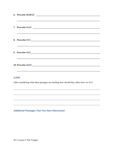| 6. Proverbs 10:20-21                                                                                                                                                                                                          |
|-------------------------------------------------------------------------------------------------------------------------------------------------------------------------------------------------------------------------------|
|                                                                                                                                                                                                                               |
| <u> Alexandro de la contrada de la contrada de la contrada de la contrada de la contrada de la contrada de la con</u><br>8. Proverbs 13:3                                                                                     |
| 9. Proverbs 14:3<br>,我们也不能在这里的时候,我们也不能在这里的时候,我们也不能会在这里的时候,我们也不能会在这里的时候,我们也不能会在这里的时候,我们也不能会在这里的时候,我们也                                                                                                                          |
| the control of the control of the control of the control of the control of the control of the control of the control of the control of the control of the control of the control of the control of the control of the control |
| (LIVE)                                                                                                                                                                                                                        |
| After considering what these passages are teaching how should they affect how we live?                                                                                                                                        |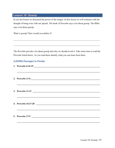### Lesson 10: Gossip

In our last lesson we discussed the power of the tongue. In this lesson we will continue with the thought of being wise with our speech. The book of Proverbs says a lot about gossip. The Bible says a lot about gossip.

What is gossip? How would you define it?

The Proverbs provide a lot about gossip and why we should avoid it. Take some time to read the Proverbs listed below. As you read them identify what you can learn from them.

| 2. Proverbs $11:9$                                                               |
|----------------------------------------------------------------------------------|
|                                                                                  |
|                                                                                  |
|                                                                                  |
| 4. Proverbs 16:27-28                                                             |
| ,我们就会在这里,我们的人们就会在这里,我们的人们就会在这里,我们的人们就会在这里,我们的人们就会在这里,我们的人们就会在这里,我们的人们就会在这里,我们的人们 |
| 5. Proverbs 17:9                                                                 |
|                                                                                  |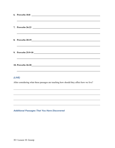| 6. Proverbs 18:8<br>,我们也不会有什么。""我们的人,我们也不会有什么?""我们的人,我们也不会有什么?""我们的人,我们也不会有什么?""我们的人,我们也不会有什么?""我们的人                  |
|-----------------------------------------------------------------------------------------------------------------------|
| <u> 1999 - Johann Harry Harry Harry Harry Harry Harry Harry Harry Harry Harry Harry Harry Harry Harry Harry Harry</u> |
| ,我们也不会有什么。""我们的人,我们也不会有什么?""我们的人,我们也不会有什么?""我们的人,我们也不会有什么?""我们的人,我们也不会有什么?""我们的人                                      |
|                                                                                                                       |
| ,我们也不能在这里的时候,我们也不能在这里的时候,我们也不能会在这里的时候,我们也不能会在这里的时候,我们也不能会在这里的时候,我们也不能会在这里的时候,我们也不                                     |
| (LIVE)<br>After considering what these passages are teaching how should they affect how we live?                      |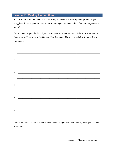# Lesson 11: Making Assumptions

It's a difficult battle to overcome. I'm referring to the battle of making assumptions. Do you struggle with making assumptions about something or someone, only to find out that you were wrong?

Can you name anyone in the scriptures who made some assumptions? Take some time to think about some of the stories in the Old and New Testament. Use the space below to write down your answers.

|                    | 1. $\qquad \qquad$                                                                                                    |
|--------------------|-----------------------------------------------------------------------------------------------------------------------|
|                    | 2. $\qquad \qquad$                                                                                                    |
|                    | $\frac{3}{2}$                                                                                                         |
| $\boldsymbol{4}$ . | <u> El seu al component de la propia de la propia de la propia de la propia de la propia de la propia de la propi</u> |
|                    | $\frac{1}{2}$                                                                                                         |
| 6.                 | <u> 1980 - Johann Barn, mars ar breithinn ar chwaraeth a bhaile ann an t-</u>                                         |

Take some time to read the Proverbs listed below. As you read them identify what you can learn from them.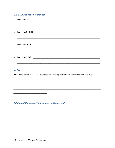### (LEARN) Passages to Ponder

| ,我们也不会有什么。""我们的人,我们也不会有什么?""我们的人,我们也不会有什么?""我们的人,我们也不会有什么?""我们的人,我们也不会有什么?""我们的人 |
|----------------------------------------------------------------------------------|
|                                                                                  |
|                                                                                  |
|                                                                                  |
|                                                                                  |
|                                                                                  |
|                                                                                  |
|                                                                                  |
|                                                                                  |
| 4. Proverbs 3:7-8                                                                |
|                                                                                  |
|                                                                                  |
|                                                                                  |

# $(LIVE)$

After considering what these passages are teaching how should they affect how we live?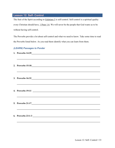# Lesson 12: Self- Control

The fruit of the Spirit according to Galatians 5 is self-control. Self-control is a spiritual quality every Christian should have, 1 Peter 1:6. We will never be the people that God wants us to be without having self-control.

The Proverbs provide a lot about self-control and what we need to know. Take some time to read the Proverbs listed below. As you read them identify what you can learn from them.

| ,我们也不能在这里的时候,我们也不能在这里的时候,我们也不能会在这里的时候,我们也不能会在这里的时候,我们也不能会在这里的时候,我们也不能会在这里的时候,我们也不                                                                                      |
|------------------------------------------------------------------------------------------------------------------------------------------------------------------------|
| 2. Proverbs 15:18<br><u>15:18</u>                                                                                                                                      |
| ,我们也不会有什么。""我们的人,我们也不会有什么?""我们的人,我们也不会有什么?""我们的人,我们也不会有什么?""我们的人,我们也不会有什么?""我们的人                                                                                       |
| ,我们也不能在这里的时候,我们也不能在这里的时候,我们也不能会在这里的时候,我们也不能会在这里的时候,我们也不能会在这里的时候,我们也不能会在这里的时候,我们也不<br>,我们也不能在这里的时候,我们也不能在这里的时候,我们也不能会在这里的时候,我们也不能会在这里的时候,我们也不能会在这里的时候,我们也不能会在这里的时候,我们也不 |
|                                                                                                                                                                        |
|                                                                                                                                                                        |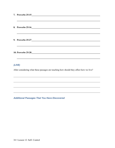| 7. Proverbs 25:15                                                                 |
|-----------------------------------------------------------------------------------|
| ,我们也不能在这里的时候,我们也不能在这里的时候,我们也不能会在这里的时候,我们也不能会在这里的时候,我们也不能会在这里的时候,我们也不能会在这里的时候,我们也不 |
| 8. Proverbs 25:16                                                                 |
|                                                                                   |
|                                                                                   |
|                                                                                   |
|                                                                                   |
|                                                                                   |
|                                                                                   |

After considering what these passages are teaching how should they affect how we live?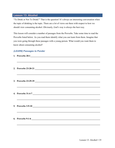### Lesson 13: Alcohol

"To Drink or Not To Drink?" That is the question! It's always an interesting conversation when the topic of drinking is the topic. There are a lot of views out there with respect to how we should view consuming alcohol. Obviously, God's way is always the best way.

This lesson will consider a number of passages from the Proverbs. Take some time to read the Proverbs listed below. As you read them identify what you can learn from them. Imagine that you were going through these passages with a young person. What would you want them to know about consuming alcohol?

| 2. Proverbs 23:20-21                                                                                                 |
|----------------------------------------------------------------------------------------------------------------------|
| <u> 1990 - Jan James James James James James James James James James James James James James James James James J</u> |
| 3. Proverbs 23:29-35                                                                                                 |
|                                                                                                                      |
|                                                                                                                      |
|                                                                                                                      |
|                                                                                                                      |
| ,我们也不能在这里的时候,我们也不能在这里的时候,我们也不能会在这里的时候,我们也不能会在这里的时候,我们也不能会在这里的时候,我们也不能会在这里的时候,我们也                                     |
| 6. Proverbs 9:1-6                                                                                                    |
|                                                                                                                      |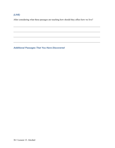After considering what these passages are teaching how should they affect how we live?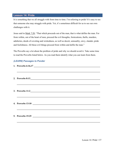### Lesson 14: Pride

It is something that we all struggle with from time to time. I'm referring to pride! It's easy to see that someone else may struggle with pride. Yet, it's sometimes difficult for us to see our own challenges with it.

Jesus said in Mark 7:20, "That which proceeds out of the man, that is what defiles the man. For from within, out of the heart of men, proceed the evil thoughts, fornications, thefts, murders, adulteries, deeds of coveting and wickedness, as well as deceit, sensuality, envy, slander, pride and foolishness. All these evil things proceed from within and defile the man."

The Proverbs say a lot about the problem of pride and why we should avoid it. Take some time to read the Proverbs listed below. As you read them identify what you can learn from them.

| 1. Proverbs 6:16,17                                                                                                  |
|----------------------------------------------------------------------------------------------------------------------|
|                                                                                                                      |
|                                                                                                                      |
| <u> 1999 - Jan James James James James James James James James James James James James James James James James J</u> |
|                                                                                                                      |
|                                                                                                                      |
|                                                                                                                      |
|                                                                                                                      |
|                                                                                                                      |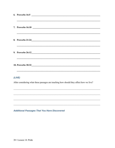| 9. Proverbs 26:12<br><u>19.</u> Proverbs 26:12<br>20. Proverbs 26:12<br>20. Proverbs 26:12<br>,我们也不会有什么。""我们的人,我们也不会有什么?""我们的人,我们也不会有什么?""我们的人,我们也不会有什么?""我们的人,我们也不会有什么?""我们的人 |
|--------------------------------------------------------------------------------------------------------------------------------------------------------------------------------|
|                                                                                                                                                                                |
| (LIVE)<br>After considering what these passages are teaching how should they affect how we live?                                                                               |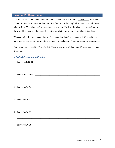## Lesson 15: Government

There's one verse that we would all do well to remember. It's found in 1 Peter 2:17. Peter said, "Honor all people, love the brotherhood, fear God, honor the king." This verse covers all of our relationships. Yet, it is a hard passage to put into action. Particularly when it comes to honoring the king. This verse may be easier depending on whether or not your candidate is in office.

We need to live by this passage. We need to remember that God is in control. We need to also remember what's mentioned about governments in the book of Proverbs. You may be surprised.

Take some time to read the Proverbs listed below. As you read them identify what you can learn from them.

| ,我们也不会有什么。""我们的人,我们也不会有什么?""我们的人,我们也不会有什么?""我们的人,我们也不会有什么?""我们的人,我们也不会有什么?""我们的人                                |
|-----------------------------------------------------------------------------------------------------------------|
| 2. Proverbs 11:10-11                                                                                            |
| <u> 1999 - Jan James James James James James James James James James James James James James James James Ja</u> |
| <u>,这就是我们的人,我们就会不能够做到了,我们的人,我们就会不能够做到了。"</u> "我们的人,我们的人,我们的人,我们的人,我们的人,我们的人,我们的人,我们                             |
|                                                                                                                 |
| ,我们就会在这里,我们的人们就会在这里,我们的人们就会在这里,我们的人们就会在这里,我们的人们就会在这里,我们的人们就会在这里,我们的人们就会在这里,我们的人们                                |
|                                                                                                                 |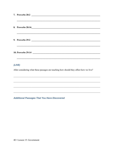| 7. Proverbs 28:2                                                                 |
|----------------------------------------------------------------------------------|
| ,我们也不会有什么。""我们的人,我们也不会有什么?""我们的人,我们也不会有什么?""我们的人,我们也不会有什么?""我们的人,我们也不会有什么?""我们的人 |
| 8. Proverbs 28:16                                                                |
|                                                                                  |
| 9. Proverbs 29:2                                                                 |
|                                                                                  |
|                                                                                  |
|                                                                                  |
|                                                                                  |

After considering what these passages are teaching how should they affect how we live?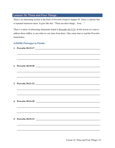# **Lesson 16: Three and Four Things**

There's an interesting section in the book of Proverbs found in chapter 30. There's a phrase that is repeated numerous times. It goes like this: "There are three things...Four..."

There's a series of interesting statements found in Proverbs 30:15-33. In this lesson we want to address these riddles, to see what we can learn from them. Take some time to read the Proverbs listed below.

#### (LEARN) Passages to Ponder

1. Proverbs 30:15-17

3. Proverbs 30:21-23

4. Proverbs 30:24-28

5. Proverbs 30:29-33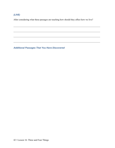After considering what these passages are teaching how should they affect how we live?

 $\mathcal{L}_\mathcal{L} = \mathcal{L}_\mathcal{L} = \mathcal{L}_\mathcal{L} = \mathcal{L}_\mathcal{L} = \mathcal{L}_\mathcal{L} = \mathcal{L}_\mathcal{L} = \mathcal{L}_\mathcal{L} = \mathcal{L}_\mathcal{L} = \mathcal{L}_\mathcal{L} = \mathcal{L}_\mathcal{L} = \mathcal{L}_\mathcal{L} = \mathcal{L}_\mathcal{L} = \mathcal{L}_\mathcal{L} = \mathcal{L}_\mathcal{L} = \mathcal{L}_\mathcal{L} = \mathcal{L}_\mathcal{L} = \mathcal{L}_\mathcal{L}$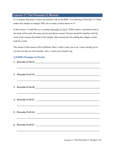# Lesson 17: The Proverbs 31 Woman

It's a chapter that many women are familiar with in the Bible. I'm referring to Proverbs 31! What makes this chapter so unique? Why are so many women drawn to it?

In this lesson, I would like us to examine **Proverbs 31:10-31**. While much is said about men in the book of Proverbs, the same can be said about women! Women should be familiar with the traits of the woman described in this chapter. Men should also be reading this chapter as they look for a wife.

The format of this lesson will be different. Here's what I want you to do. I have already given you the text that we will consider. Now, I want you to break it up.

| 2. Proverbs 31:13-15                                                              |
|-----------------------------------------------------------------------------------|
|                                                                                   |
| 3. Proverbs $31:16-18$                                                            |
|                                                                                   |
|                                                                                   |
| <u> 1989 - Andrea Stadt Brandenburg, Amerikaansk politiker († 1908)</u>           |
| 5. Proverbs 31:22-24                                                              |
| ,我们也不能在这里的时候,我们也不能在这里的时候,我们也不能会在这里的时候,我们也不能会在这里的时候,我们也不能会在这里的时候,我们也不能会在这里的时候,我们也不 |
| 6. Proverbs $31:25-27$                                                            |
|                                                                                   |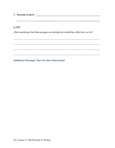7. Proverbs 31:28-31

# $(LIVE)$

After considering what these passages are teaching how should they affect how we live?

<u> 1989 - Johann John Stone, markin amerikan bestema dalam penyanyi dan bestema dalam pengaran bestema dalam pe</u>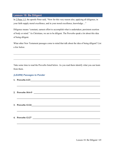### Lesson 18: Be Diligent

In 2 Peter 1:5, the apostle Peter said, "Now for this very reason also, applying all diligence, in your faith supply moral excellence, and in your moral excellence, knowledge…"

Diligence means "constant, earnest effort to accomplish what is undertaken; persistent exertion of body or mind." As Christians, we are to be diligent. The Proverbs speak a lot about this idea of being diligent.

What other New Testament passages come to mind that talk about the idea of being diligent? List a few below.

Take some time to read the Proverbs listed below. As you read them identify what you can learn from them.

 $\mathcal{L}_\text{max}$  and  $\mathcal{L}_\text{max}$  and  $\mathcal{L}_\text{max}$  and  $\mathcal{L}_\text{max}$  and  $\mathcal{L}_\text{max}$  and  $\mathcal{L}_\text{max}$ 

 $\mathcal{L}_\text{max} = \mathcal{L}_\text{max} = \mathcal{L}_\text{max} = \mathcal{L}_\text{max} = \mathcal{L}_\text{max} = \mathcal{L}_\text{max} = \mathcal{L}_\text{max} = \mathcal{L}_\text{max} = \mathcal{L}_\text{max} = \mathcal{L}_\text{max} = \mathcal{L}_\text{max} = \mathcal{L}_\text{max} = \mathcal{L}_\text{max} = \mathcal{L}_\text{max} = \mathcal{L}_\text{max} = \mathcal{L}_\text{max} = \mathcal{L}_\text{max} = \mathcal{L}_\text{max} = \mathcal{$ 

 $\mathcal{L}_\text{max} = \mathcal{L}_\text{max} = \mathcal{L}_\text{max} = \mathcal{L}_\text{max} = \mathcal{L}_\text{max} = \mathcal{L}_\text{max} = \mathcal{L}_\text{max} = \mathcal{L}_\text{max} = \mathcal{L}_\text{max} = \mathcal{L}_\text{max} = \mathcal{L}_\text{max} = \mathcal{L}_\text{max} = \mathcal{L}_\text{max} = \mathcal{L}_\text{max} = \mathcal{L}_\text{max} = \mathcal{L}_\text{max} = \mathcal{L}_\text{max} = \mathcal{L}_\text{max} = \mathcal{$ 

 $\mathcal{L}_\text{max}$  and  $\mathcal{L}_\text{max}$  and  $\mathcal{L}_\text{max}$  and  $\mathcal{L}_\text{max}$  and  $\mathcal{L}_\text{max}$  and  $\mathcal{L}_\text{max}$ 

 $\mathcal{L}_\mathcal{L} = \mathcal{L}_\mathcal{L} = \mathcal{L}_\mathcal{L} = \mathcal{L}_\mathcal{L} = \mathcal{L}_\mathcal{L} = \mathcal{L}_\mathcal{L} = \mathcal{L}_\mathcal{L} = \mathcal{L}_\mathcal{L} = \mathcal{L}_\mathcal{L} = \mathcal{L}_\mathcal{L} = \mathcal{L}_\mathcal{L} = \mathcal{L}_\mathcal{L} = \mathcal{L}_\mathcal{L} = \mathcal{L}_\mathcal{L} = \mathcal{L}_\mathcal{L} = \mathcal{L}_\mathcal{L} = \mathcal{L}_\mathcal{L}$ 

#### (LEARN) Passages to Ponder

- 1. Proverbs 4:23
- 2. Proverbs 10:4-5
- 3. Proverbs 12:24 \_\_\_\_\_\_\_\_\_\_\_\_\_\_\_\_\_\_\_\_\_\_\_\_\_\_\_\_\_\_\_\_\_\_\_\_\_\_\_\_\_\_\_\_\_\_\_\_\_\_\_\_\_\_\_\_\_\_\_\_\_

4. Proverbs 12:27 \_\_\_\_\_\_\_\_\_\_\_\_\_\_\_\_\_\_\_\_\_\_\_\_\_\_\_\_\_\_\_\_\_\_\_\_\_\_\_\_\_\_\_\_\_\_\_\_\_\_\_\_\_\_\_\_\_\_\_\_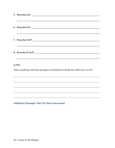| 5. Proverbs 13:4<br>$\label{eq:2.1} \begin{split} \frac{1}{\sqrt{2\pi}}\frac{1}{\sqrt{2\pi}}\frac{1}{\sqrt{2\pi}}\frac{1}{\sqrt{2\pi}}\frac{1}{\sqrt{2\pi}}\frac{1}{\sqrt{2\pi}}\frac{1}{\sqrt{2\pi}}\frac{1}{\sqrt{2\pi}}\frac{1}{\sqrt{2\pi}}\frac{1}{\sqrt{2\pi}}\frac{1}{\sqrt{2\pi}}\frac{1}{\sqrt{2\pi}}\frac{1}{\sqrt{2\pi}}\frac{1}{\sqrt{2\pi}}\frac{1}{\sqrt{2\pi}}\frac{1}{\sqrt{2\pi}}\frac{1}{\sqrt{2\pi}}\frac$ |
|-------------------------------------------------------------------------------------------------------------------------------------------------------------------------------------------------------------------------------------------------------------------------------------------------------------------------------------------------------------------------------------------------------------------------------|
|                                                                                                                                                                                                                                                                                                                                                                                                                               |
| 6. Proverbs 21:5                                                                                                                                                                                                                                                                                                                                                                                                              |
|                                                                                                                                                                                                                                                                                                                                                                                                                               |
| 7. Proverbs 22:29                                                                                                                                                                                                                                                                                                                                                                                                             |
|                                                                                                                                                                                                                                                                                                                                                                                                                               |
| 8. Proverbs 27:23,27                                                                                                                                                                                                                                                                                                                                                                                                          |
|                                                                                                                                                                                                                                                                                                                                                                                                                               |

After considering what these passages are teaching how should they affect how we live?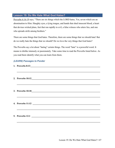## Lesson 19: Do We Hate What God Hates?

Proverbs 6:16-19 says, "There are six things which the LORD hates, Yes, seven which are an abomination to Him: Haughty eyes, a lying tongue, and hands that shed innocent blood, a heart that devises wicked plans, feet that run rapidly to evil, a false witness who utters lies, and one who spreads strife among brothers."

There are some things that God hates. Therefore, there are some things that we should hate! But do we really hate the things that we should? Do we love the very things that God hates?

The Proverbs say a lot about "hating" certain things. The word "hate" is a powerful word. It means to dislike intensely or passionately. Take some time to read the Proverbs listed below. As you read them identify what you can learn from them.

| 1. Proverbs 8:13                                                                                                      |
|-----------------------------------------------------------------------------------------------------------------------|
|                                                                                                                       |
| 2. Proverbs 10:12<br><u>10:12</u>                                                                                     |
| <u> 1980 - Andrea Andrea Andrea Andrea Andrea Andrea Andrea Andrea Andrea Andrea Andrea Andrea Andrea Andrea Andr</u> |
| 3. Proverbs 10:18                                                                                                     |
|                                                                                                                       |
|                                                                                                                       |
|                                                                                                                       |
| 5. Proverbs $12:1$ $\qquad \qquad$                                                                                    |
|                                                                                                                       |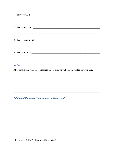| 6. Proverbs 13:5  |
|-------------------|
|                   |
|                   |
|                   |
| 9. Proverbs 26:28 |
|                   |
|                   |

After considering what these passages are teaching how should they affect how we live?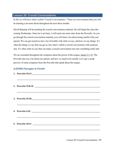### Lesson 20: Crucial Conversations

In life we will have what's called "Crucial Conversations." These are conversations that you will be learning a lot more about throughout the next three months.

David Banning will be teaching the crucial conversations material. He will begin the class this coming Wednesday. Since he is not here, I will teach one more class from the Proverbs. As you go through the crucial conversation material, you will learn a lot about being careful with your speech. We can get ourselves into a lot of trouble with what we say, and how we say things. It's often the things we say that can get us into what's called a crucial conversation with someone else. It's often what we say that can make a crucial conversation turn into something really bad.

We are reminded throughout the scriptures about the power of the tongue, James 3:1-12. The Proverbs also say a lot about our speech, and how we need to be careful. Let's get a sneak preview of some scriptures from the Proverbs that speak about the tongue.

| 2. Proverbs $25:8-10$               |
|-------------------------------------|
|                                     |
|                                     |
|                                     |
|                                     |
|                                     |
| 5. Proverbs $10:11$ $\qquad \qquad$ |
|                                     |